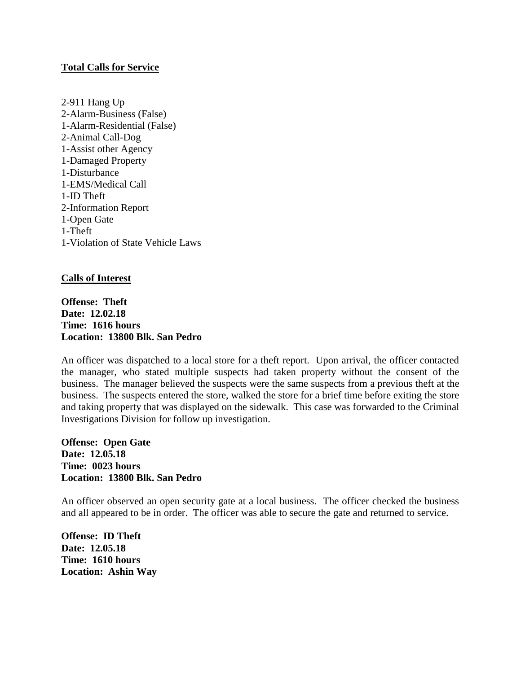#### **Total Calls for Service**

2-911 Hang Up 2-Alarm-Business (False) 1-Alarm-Residential (False) 2-Animal Call-Dog 1-Assist other Agency 1-Damaged Property 1-Disturbance 1-EMS/Medical Call 1-ID Theft 2-Information Report 1-Open Gate 1-Theft 1-Violation of State Vehicle Laws

## **Calls of Interest**

**Offense: Theft Date: 12.02.18 Time: 1616 hours Location: 13800 Blk. San Pedro**

An officer was dispatched to a local store for a theft report. Upon arrival, the officer contacted the manager, who stated multiple suspects had taken property without the consent of the business. The manager believed the suspects were the same suspects from a previous theft at the business. The suspects entered the store, walked the store for a brief time before exiting the store and taking property that was displayed on the sidewalk. This case was forwarded to the Criminal Investigations Division for follow up investigation.

**Offense: Open Gate Date: 12.05.18 Time: 0023 hours Location: 13800 Blk. San Pedro**

An officer observed an open security gate at a local business. The officer checked the business and all appeared to be in order. The officer was able to secure the gate and returned to service.

**Offense: ID Theft Date: 12.05.18 Time: 1610 hours Location: Ashin Way**